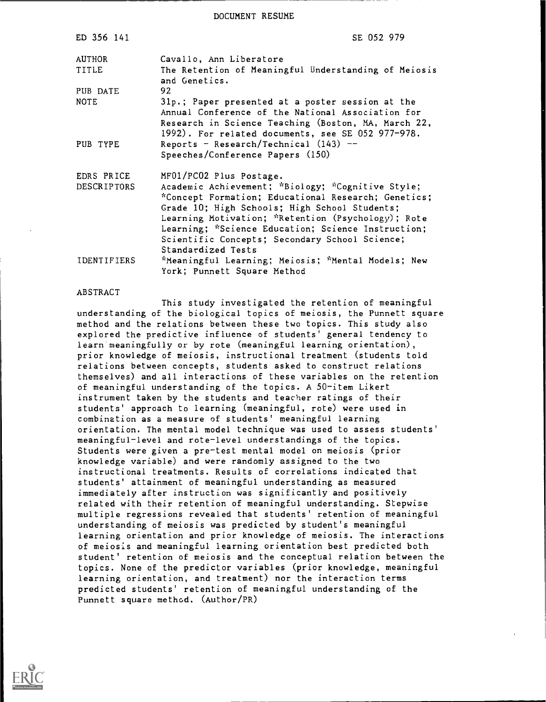DOCUMENT RESUME

| ED 356 141                | SE 052 979                                                                                                                                                                                                                                                                                                                                                               |
|---------------------------|--------------------------------------------------------------------------------------------------------------------------------------------------------------------------------------------------------------------------------------------------------------------------------------------------------------------------------------------------------------------------|
| AUTHOR<br>TITLE           | Cavallo, Ann Liberatore<br>The Retention of Meaningful Understanding of Meiosis<br>and Genetics.                                                                                                                                                                                                                                                                         |
| PUB DATE                  | 92                                                                                                                                                                                                                                                                                                                                                                       |
| <b>NOTE</b>               | 31p.; Paper presented at a poster session at the<br>Annual Conference of the National Association for<br>Research in Science Teaching (Boston, MA, March 22,<br>1992). For related documents, see SE 052 977-978.                                                                                                                                                        |
| PUB TYPE                  | Reports - Research/Technical $(143)$ --<br>Speeches/Conference Papers (150)                                                                                                                                                                                                                                                                                              |
| EDRS PRICE<br>DESCRIPTORS | MF01/PC02 Plus Postage.<br>Academic Achievement; *Biology; *Cognitive Style;<br>*Concept Formation; Educational Research; Genetics;<br>Grade 10; High Schools; High School Students;<br>Learning Motivation; *Retention (Psychology); Rote<br>Learning; *Science Education; Science Instruction;<br>Scientific Concepts; Secondary School Science;<br>Standardized Tests |
| <b>IDENTIFIERS</b>        | *Meaningful Learning; Meiosis; *Mental Models; New<br>York; Punnett Square Method                                                                                                                                                                                                                                                                                        |

#### ABSTRACT

This study investigated the retention of meaningful understanding of the biological topics of meiosis, the Punnett square method and the relations between these two topics. This study also explored the predictive influence of students' general tendency to learn meaningfully or by rote (meaningful learning orientation), prior knowledge of meiosis, instructional treatment (students told relations between concepts, students asked to construct relations themselves) and all interactions of these variables on the retention of meaningful understanding of the topics. A 50-item Likert instrument taken by the students and teacher ratings of their students' approach to learning (meaningful, rote) were used in combination as a measure of students' meaningful learning orientation. The mental model technique was used to assess students' meaningful-level and rote-level understandings of the topics. Students were given a pre-test mental model on meiosis (prior knowledge variable) and were randomly assigned to the two instructional treatments. Results of correlations indicated that students' attainment of meaningful understanding as measured immediately after instruction was significantly and positively related with their retention of meaningful understanding. Stepwise multiple regressions revealed that students' retention of meaningful understanding of meiosis was predicted by student's meaningful learning orientation and prior knowledge of meiosis. The interactions of meiosis and meaningful learning orientation best predicted both student' retention of meiosis and the conceptual relation between the topics. None of the predictor variables (prior knowledge, meaningful learning orientation, and treatment) nor the interaction terms predicted students' retention of meaningful understanding of the Punnett square method. (Author/PR)

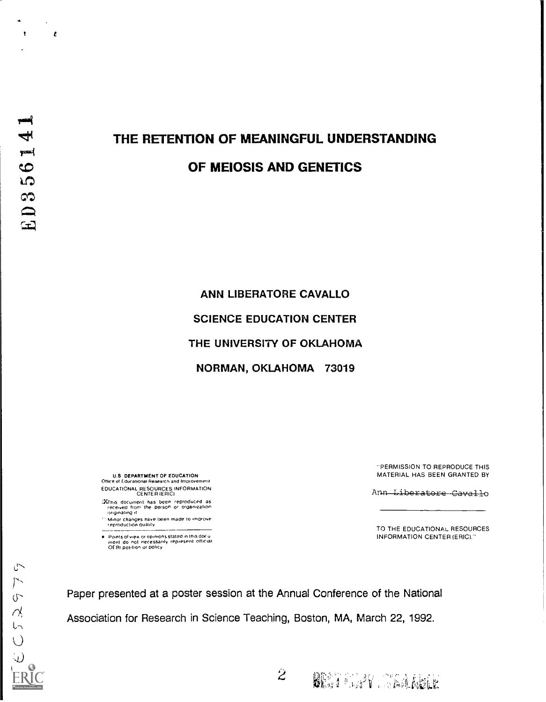$\mathbf{t}$ 

 $\mathbf{r}$ 

# THE RETENTION OF MEANINGFUL UNDERSTANDING

## OF MEIOSIS AND GENETICS

ANN LIBERATORE CAVALLO SCIENCE EDUCATION CENTER THE UNIVERSITY OF OKLAHOMA NORMAN, OKLAHOMA 73019

U.S DEPARTMENT OF EDUCATION Office of Educational Research and Improvement EDUCATIONAL RESOURCES INFORMATION CENTER IERICI

- :XTnis document has been reproduced as received Iron, the person or organization originating it
- Minor changes have been made to improve reproduction duality
- Points of view or opinions stated in this docu<br>ment :do: not :necessarily :represent: official<br>OERI position or policy

PERMISSION TO REPRODUCE THIS MATERIAL HAS BEEN GRANTED BY

Ann Liberatore Cavallo

TO THE EDUCATIONAL RESOURCES INFORMATION CENTER (ERIC)."

BEST CONTRACTOR

Paper presented at a poster session at the Annual Conference of the National Association for Research in Science Teaching, Boston, MA, March 22, 1992.

 $\tilde{z}$ 

 $\cup$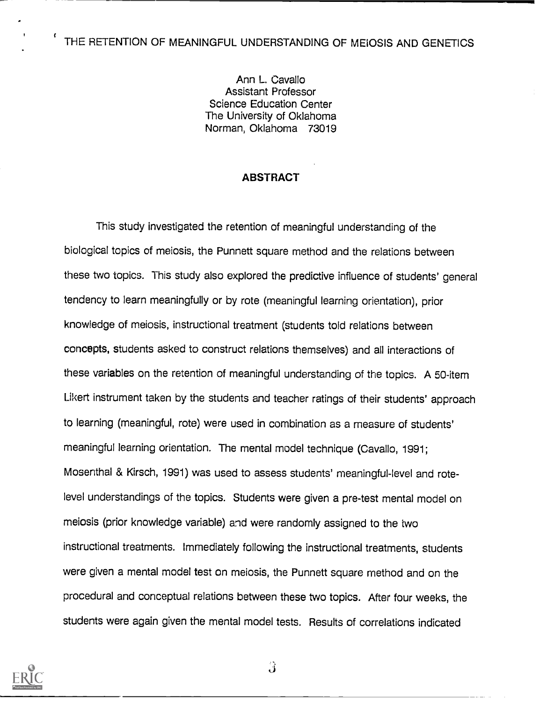## ( THE RETENTION OF MEANINGFUL UNDERSTANDING OF MEIOSIS AND GENETICS

Ann L. Cavallo Assistant Professor Science Education Center The University of Oklahoma Norman, Oklahoma 73019

## ABSTRACT

This study investigated the retention of meaningful understanding of the biological topics of meiosis, the Punnett square method and the relations between these two topics. This study also explored the predictive influence of students' general tendency to learn meaningfully or by rote (meaningful learning orientation), prior knowledge of meiosis, instructional treatment (students told relations between concepts, students asked to construct relations themselves) and all interactions of these variables on the retention of meaningful understanding of the topics. A 50-item Likert instrument taken by the students and teacher ratings of their students' approach to learning (meaningful, rote) were used in combination as a measure of students' meaningful learning orientation. The mental model technique (Cavallo, 1991; Mosenthal & Kirsch, 1991) was used to assess students' meaningful-level and rotelevel understandings of the topics. Students were given a pre-test mental model on meiosis (prior knowledge variable) and were randomly assigned to the two instructional treatments. Immediately following the instructional treatments, students were given a mental model test on meiosis, the Punnett square method and on the procedural and conceptual relations between these two topics. After four weeks, the students were again given the mental model tests. Results of correlations indicated

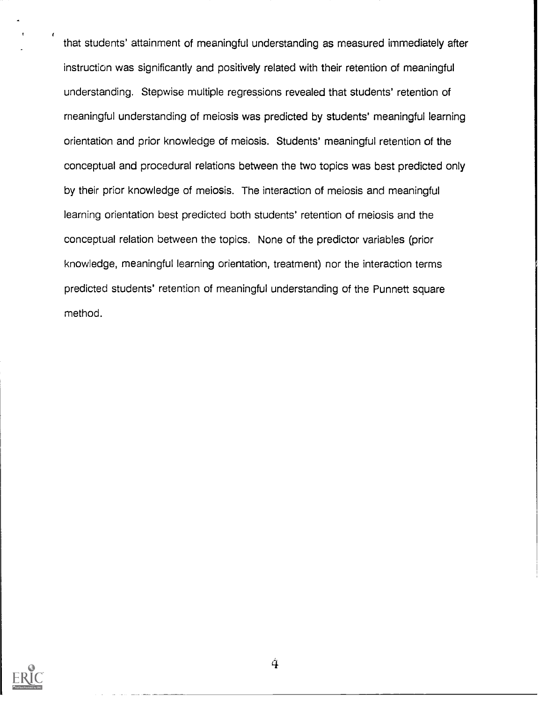that students' attainment of meaningful understanding as measured immediately after instruction was significantly and positively related with their retention of meaningful understanding. Stepwise multiple regressions revealed that students' retention of meaningful understanding of meiosis was predicted by students' meaningful learning orientation and prior knowledge of meiosis. Students' meaningful retention of the conceptual and procedural relations between the two topics was best predicted only by their prior knowledge of meiosis. The interaction of meiosis and meaningful learning orientation best predicted both students' retention of meiosis and the conceptual relation between the topics. None of the predictor variables (prior knowledge, meaningful learning orientation, treatment) nor the interaction terms predicted students' retention of meaningful understanding of the Punnett square method.

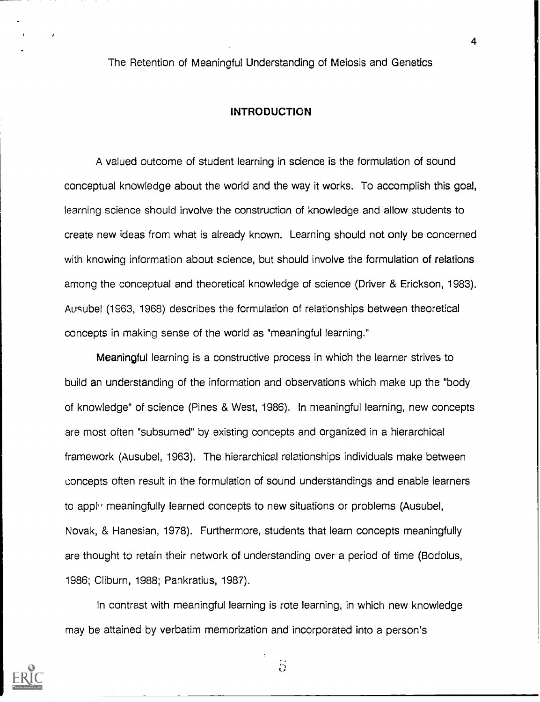The Retention of Meaningful Understanding of Meiosis and Genetics

#### INTRODUCTION

A valued outcome of student learning in science is the formulation of sound conceptual knowledge about the world and the way it works. To accomplish this goal, learning science should involve the construction of knowledge and allow students to create new ideas from what is already known. Learning should not only be concerned with knowing information about science, but should involve the formulation of relations among the conceptual and theoretical knowledge of science (Driver & Erickson, 1983). Ausubel (1963, 1968) describes the formulation of relationships between theoretical concepts in making sense of the world as "meaningful learning."

Meaningful learning is a constructive process in which the learner strives to build an understanding of the information and observations which make up the "body of knowledge" of science (Pines & West, 1986). In meaningful learning, new concepts are most often "subsumed" by existing concepts and organized in a hierarchical framework (Ausubel, 1963). The hierarchical relationships individuals make between concepts often result in the formulation of sound understandings and enable learners to apply meaningfully learned concepts to new situations or problems (Ausubel, Novak, & Hanesian, 1978). Furthermore, students that learn concepts meaningfully are thought to retain their network of understanding over a period of time (Bodolus, 1986; Cliburn, 1988; Pankratius, 1987).

In contrast with meaningful learning is rote learning, in which new knowledge may be attained by verbatim memorization and incorporated into a person's



 $\ddot{5}$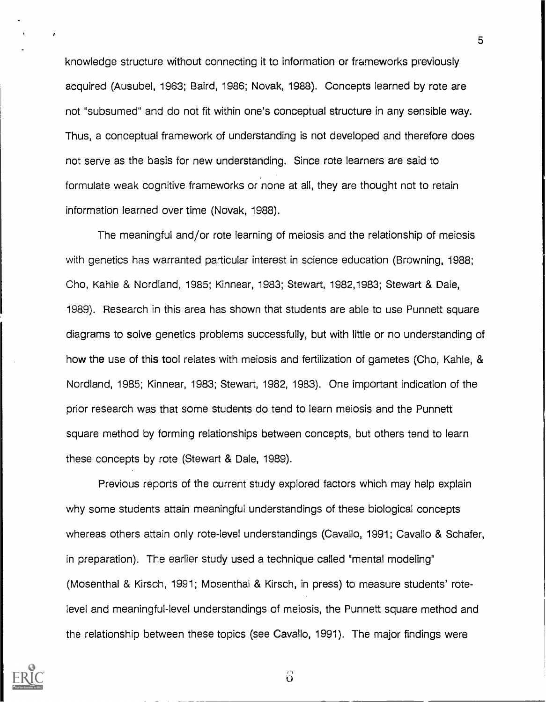knowledge structure without connecting it to information or frameworks previously acquired (Ausubel, 1963; Baird, 1986; Novak, 1988). Concepts learned by rote are not "subsumed" and do not fit within one's conceptual structure in any sensible way. Thus, a conceptual framework of understanding is not developed and therefore does not serve as the basis for new understanding. Since rote learners are said to formulate weak cognitive frameworks or none at all, they are thought not to retain information learned over time (Novak, 1988).

The meaningful and/or rote learning of meiosis and the relationship of meiosis with genetics has warranted particular interest in science education (Browning, 1988; Cho, Kahle & Nordland, 1985; Kinnear, 1983; Stewart, 1982, 1983; Stewart & Dale, 1989). Research in this area has shown that students are able to use Punnett square diagrams to solve genetics problems successfully, but with little or no understanding of how the use of this tool relates with meiosis and fertilization of gametes (Cho, Kahle, & Nordland, 1985; Kinnear, 1983; Stewart, 1982, 1983). One important indication of the prior research was that some students do tend to learn meiosis and the Punnett square method by forming relationships between concepts, but others tend to learn these concepts by rote (Stewart & Dale, 1989).

Previous reports of the current study explored factors which may help explain why some students attain meaningful understandings of these biological concepts whereas others attain only rote-level understandings (Cavallo, 1991; Cavallo & Schafer, in preparation). The earlier study used a technique called "mental modeling" (Mosenthal & Kirsch, 1991; Mosenthal & Kirsch, in press) to measure students' rotelevel and meaningful-level understandings of meiosis, the Punnett square method and the relationship between these topics (see Cavallo, 1991). The major findings were



 $\epsilon$ 

 $\ddot{\mathbf{0}}$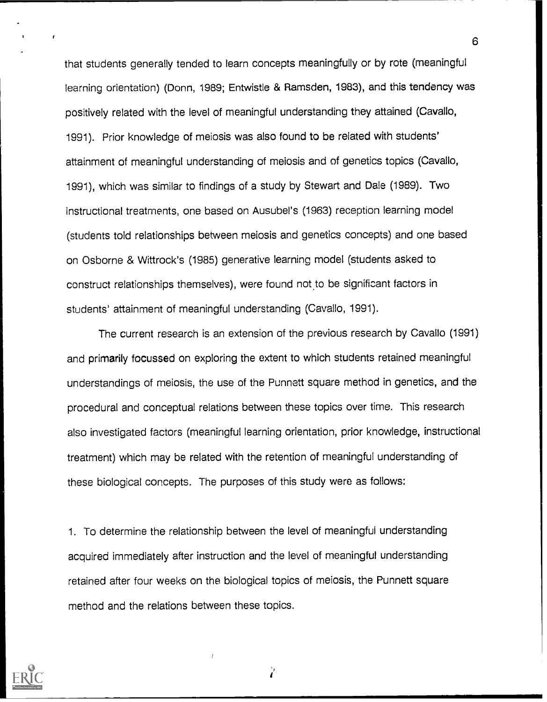that students generally tended to learn concepts meaningfully or by rote (meaningful learning orientation) (Donn, 1989; Entwistle & Ramsden, 1983), and this tendency was positively related with the level of meaningful understanding they attained (Cavallo, 1991). Prior knowledge of meiosis was also found to be related with students' attainment of meaningful understanding of meiosis and of genetics topics (Cavallo, 1991), which was similar to findings of a study by Stewart and Dale (1989). Two instructional treatments, one based on Ausubel's (1963) reception learning model (students told relationships between meiosis and genetics concepts) and one based on Osborne & Wittrock's (1985) generative learning model (students asked to construct relationships themselves), were found not to be significant factors in students' attainment of meaningful understanding (Cavallo, 1991).

The current research is an extension of the previous research by Cavallo (1991) and primarily focussed on exploring the extent to which students retained meaningful understandings of meiosis, the use of the Punnett square method in genetics, and the procedural and conceptual relations between these topics over time. This research also investigated factors (meaningful learning orientation, prior knowledge, instructional treatment) which may be related with the retention of meaningful understanding of these biological concepts. The purposes of this study were as follows:

1. To determine the relationship between the level of meaningful understanding acquired immediately after instruction and the level of meaningful understanding retained after four weeks on the biological topics of meiosis, the Punnett square method and the relations between these topics.

Ż

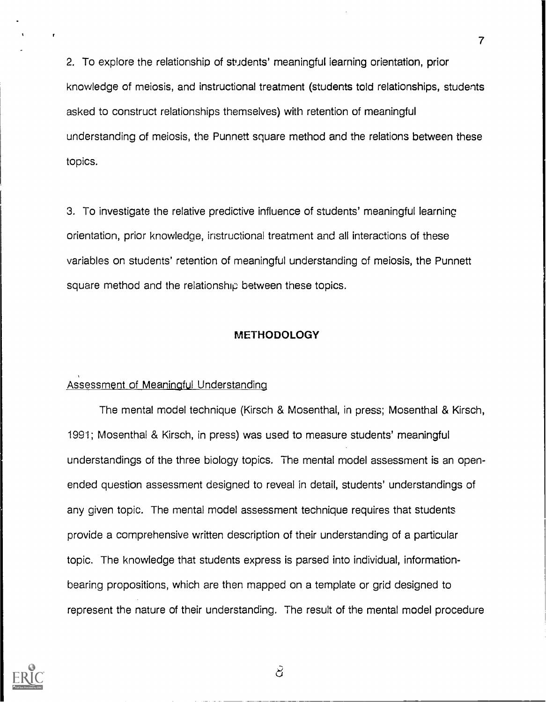2. To explore the relationship of students' meaningful learning orientation, prior knowledge of meiosis, and instructional treatment (students told relationships, students asked to construct relationships themselves) with retention of meaningful understanding of meiosis, the Punnett square method and the relations between these topics.

3. To investigate the relative predictive influence of students' meaningful learninc orientation, prior knowledge, instructional treatment and all interactions of these variables on students' retention of meaningful understanding of meiosis, the Punnett square method and the relationship between these topics.

### METHODOLOGY

### Assessment of Meaningful Understanding

The mental model technique (Kirsch & Mosenthal, in press; Mosenthal & Kirsch, 1991; Mosenthal & Kirsch, in press) was used to measure students' meaningful understandings of the three biology topics. The mental model assessment is an openended question assessment designed to reveal in detail, students' understandings of any given topic. The mental model assessment technique requires that students provide a comprehensive written description of their understanding of a particular topic. The knowledge that students express is parsed into individual, informationbearing propositions, which are then mapped on a template or grid designed to represent the nature of their understanding. The result of the mental model procedure



 $\mathcal{S}% _{M_{1},M_{2}}^{\alpha,\beta,\gamma,\gamma}(\varepsilon)$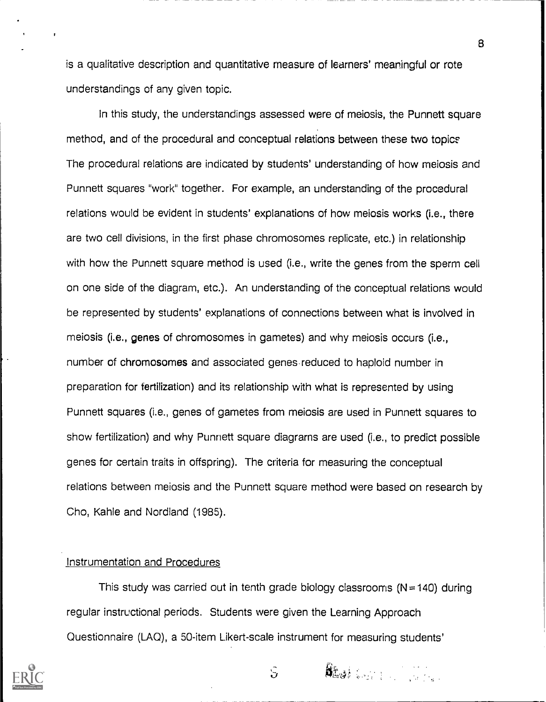is a qualitative description and quantitative measure of learners' meaningful or rote understandings of any given topic.

In this study, the understandings assessed were of meiosis, the Punnett square method, and of the procedural and conceptual relations between these two topics The procedural relations are indicated by students' understanding of how meiosis and Punnett squares "work" together. For example, an understanding of the procedural relations would be evident in students' explanations of how meiosis works (i.e., there are two cell divisions, in the first phase chromosomes replicate, etc.) in relationship with how the Punnett square method is used (i.e., write the genes from the sperm cell on one side of the diagram, etc.). An understanding of the conceptual relations would be represented by students' explanations of connections between what is involved in meiosis (i.e., genes of chromosomes in gametes) and why meiosis occurs (i.e., number of chromosomes and associated genes reduced to haploid number in preparation for fertilization) and its relationship with what is represented by using Punnett squares (i.e., genes of gametes from meiosis are used in Punnett squares to show fertilization) and why Punnett square diagrams are used (i.e., to predict possible genes for certain traits in offspring). The criteria for measuring the conceptual relations between meiosis and the Punnett square method were based on research by Cho, Kahle and Nordland (1985).

## Instrumentation and Procedures

This study was carried out in tenth grade biology classrooms ( $N = 140$ ) during regular instructional periods. Students were given the Learning Approach Questionnaire (LAO), a 50-item Likert-scale instrument for measuring students'



iJ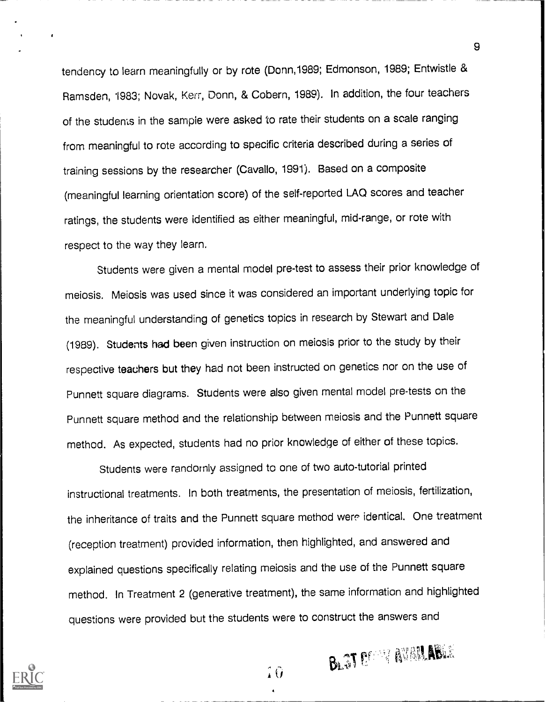tendency to learn meaningfully or by rote (Donn,1989; Edmonson, 1989; Entwistle & Ramsden, 1983; Novak, Kerr, Donn, & Cobern, 1989). In addition, the four teachers of the students in the sample were asked to rate their students on a scale ranging from meaningful to rote according to specific criteria described during a series of training sessions by the researcher (Cavallo, 1991). Based on a composite (meaningful learning orientation score) of the self-reported LAO scores and teacher ratings, the students were identified as either meaningful, mid-range, or rote with respect to the way they learn.

Students were given a mental model pre-test to assess their prior knowledge of meiosis. Meiosis was used since it was considered an important underlying topic for the meaningful understanding of genetics topics in research by Stewart and Dale (1989). Students had been given instruction on meiosis prior to the study by their respective teachers but they had not been instructed on genetics nor on the use of Punnett square diagrams. Students were also given mental model pre-tests on the Punnett square method and the relationship between meiosis and the Punnett square method. As expected, students had no prior knowledge of either of these topics.

Students were randornly assigned to one of two auto-tutorial printed instructional treatments. In both treatments, the presentation of meiosis, fertilization, the inheritance of traits and the Punnett square method were identical. One treatment (reception treatment) provided information, then highlighted, and answered and explained questions specifically relating meiosis and the use of the Punnett square method. In Treatment 2 (generative treatment), the same information and highlighted questions were provided but the students were to construct the answers and



9

**BLET DESSAY AVAILABLE** 

4Ô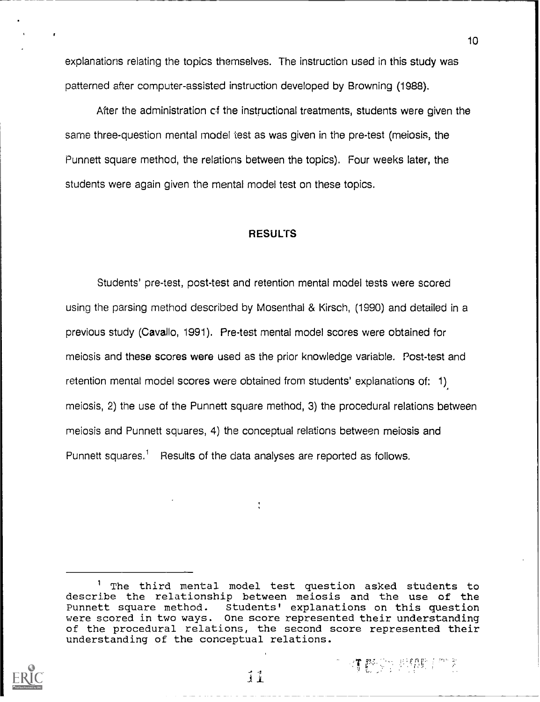explanations relating the topics themselves. The instruction used in this study was patterned after computer-assisted instruction developed by Browning (1988).

After the administration of the instructional treatments, students were given the same three-question mental model test as was given in the pre-test (meiosis, the Punnett square method, the relations between the topics). Four weeks later, the students were again given the mental model test on these topics.

#### RESULTS

Students' pre-test, post-test and retention mental model tests were scored using the parsing method described by Mosenthal & Kirsch, (1990) and detailed in a previous study (Cavallo, 1991). Pre-test mental model scores were obtained for meiosis and these scores were used as the prior knowledge variable. Post-test and retention mental model scores were obtained from students' explanations of: 1) meiosis, 2) the use of the Punnett square method, 3) the procedural relations between meiosis and Punnett squares, 4) the conceptual relations between meiosis and Punnett squares.<sup>1</sup> Results of the data analyses are reported as follows.

人生醉家水 网络斯兰尔多



<sup>1</sup> The third mental model test question asked students to describe the relationship between meiosis and the use of the Punnett square method. Students' explanations on this question were scored in two ways. One score represented their understanding of the procedural relations, the second score represented their understanding of the conceptual relations.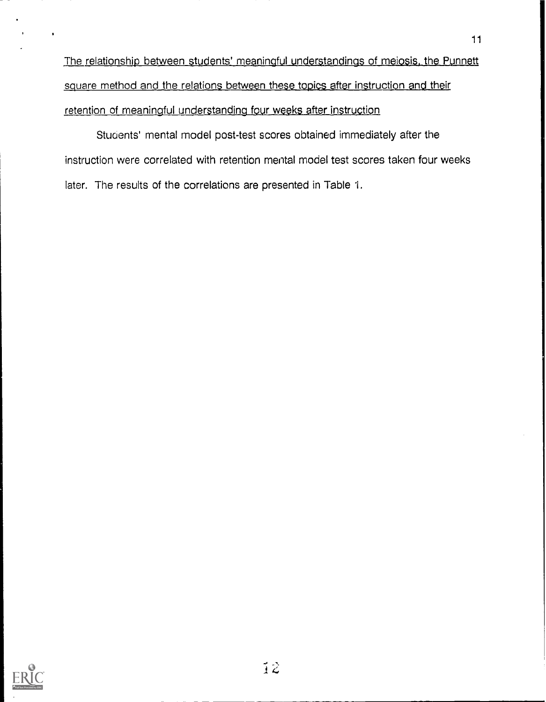The relationship between students' meaningful understandings of meiosis, the Punnett square method and the relations between these topics after instruction and their retention of meaningful understanding four weeks after instruction

Students' mental model post-test scores obtained immediately after the instruction were correlated with retention mental model test scores taken four weeks later. The results of the correlations are presented in Table 1.

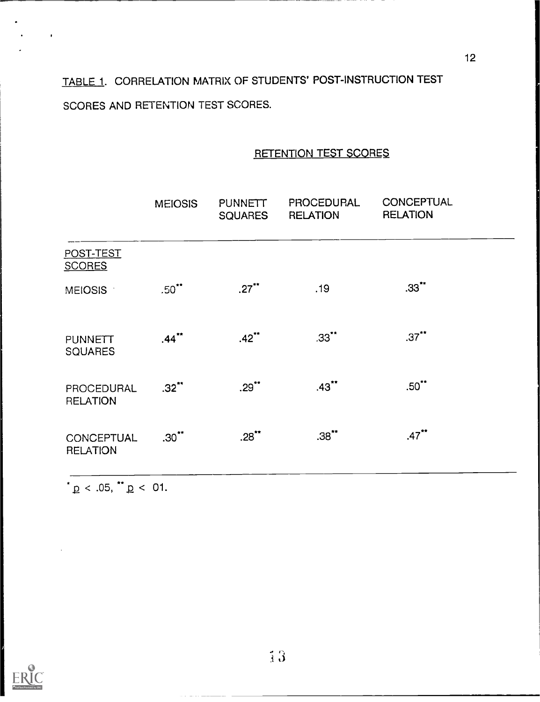TABLE 1. CORRELATION MATRIX OF STUDENTS' POST-INSTRUCTION TEST SCORES AND RETENTION TEST SCORES.

## RETENTION TEST SCORES

|                                  | <b>MEIOSIS</b> | <b>PUNNETT</b><br><b>SQUARES</b> | <b>PROCEDURAL</b><br><b>RELATION</b> | <b>CONCEPTUAL</b><br><b>RELATION</b> |  |
|----------------------------------|----------------|----------------------------------|--------------------------------------|--------------------------------------|--|
| POST-TEST<br><b>SCORES</b>       |                |                                  |                                      |                                      |  |
| MEIOSIS 1                        | $.50$ **       | $.27$ **                         | .19                                  | $.33$ <sup>**</sup>                  |  |
| <b>PUNNETT</b><br><b>SQUARES</b> | $.44$ **       | $.42$ **                         | $.33$ **                             | $.37$ **                             |  |
| PROCEDURAL<br><b>RELATION</b>    | $.32$ **       | $.29$ **                         | $.43$ **                             | $.50$ **                             |  |
| CONCEPTUAL<br><b>RELATION</b>    | $.30$ **       | $.28$ **                         | .38                                  | $.47***$                             |  |

 $*_{\overline{p}}$  < .05,  $*_{\overline{p}}$  < 01.



 $\ddot{\phantom{0}}$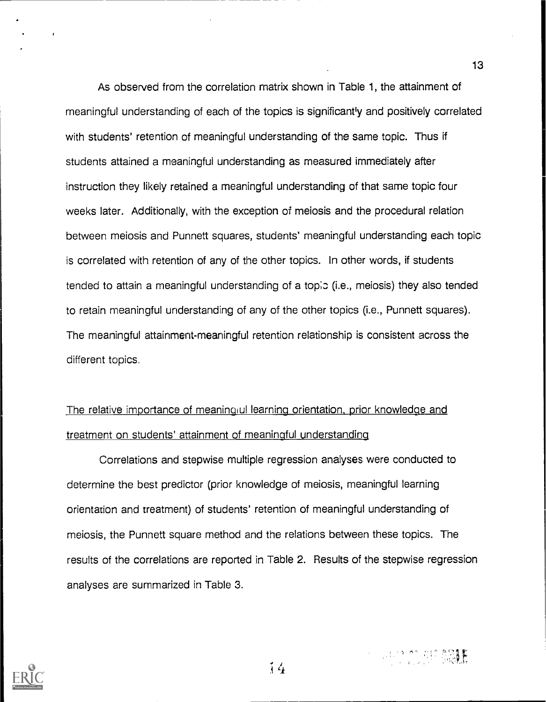As observed from the correlation matrix shown in Table 1, the attainment of meaningful understanding of each of the topics is significantly and positively correlated with students' retention of meaningful understanding of the same topic. Thus if students attained a meaningful understanding as measured immediately after instruction they likely retained a meaningful understanding of that same topic four weeks later. Additionally, with the exception of meiosis and the procedural relation between meiosis and Punnett squares, students' meaningful understanding each topic is correlated with retention of any of the other topics. In other words, if students tended to attain a meaningful understanding of a topic (i.e., meiosis) they also tended to retain meaningful understanding of any of the other topics (i.e., Punnett squares). The meaningful attainment-meaningful retention relationship is consistent across the different topics.

## The relative importance of meaningul learning orientation, prior knowledge and treatment on students' attainment of meaningful understanding

Correlations and stepwise multiple regression analyses were conducted to determine the best predictor (prior knowledge of meiosis, meaningful learning orientation and treatment) of students' retention of meaningful understanding of meiosis, the Punnett square method and the relations between these topics. The results of the correlations are reported in Table 2. Results of the stepwise regression analyses are summarized in Table 3.



**SUPPORT SOLE**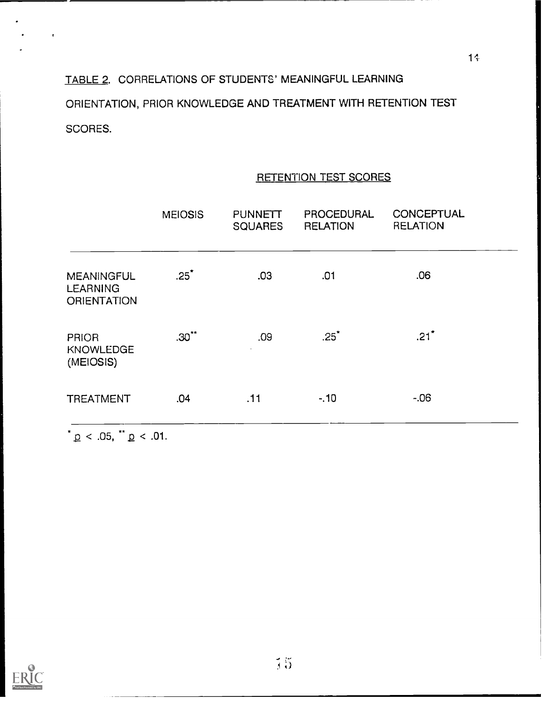# TABLE 2. CORRELATIONS OF STUDENTS' MEANINGFUL LEARNING ORIENTATION, PRIOR KNOWLEDGE AND TREATMENT WITH RETENTION TEST SCORES.

|                                                            | <b>MEIOSIS</b> | <b>PUNNETT</b><br><b>SQUARES</b> | PROCEDURAL<br><b>RELATION</b> | <b>CONCEPTUAL</b><br><b>RELATION</b> |
|------------------------------------------------------------|----------------|----------------------------------|-------------------------------|--------------------------------------|
| <b>MEANINGFUL</b><br><b>LEARNING</b><br><b>ORIENTATION</b> | $.25^*$        | .03                              | .01                           | .06                                  |
| <b>PRIOR</b><br><b>KNOWLEDGE</b><br>(MEIOSIS)              | $.30***$       | .09<br>$\sim$                    | .25                           | .21                                  |
| <b>TREATMENT</b>                                           | .04            | .11                              | $-.10$                        | $-.06$                               |

## RETENTION TEST SCORES

 $^{\star}$   $p$  < .05,  $^{\star}$   $p$  < .01.

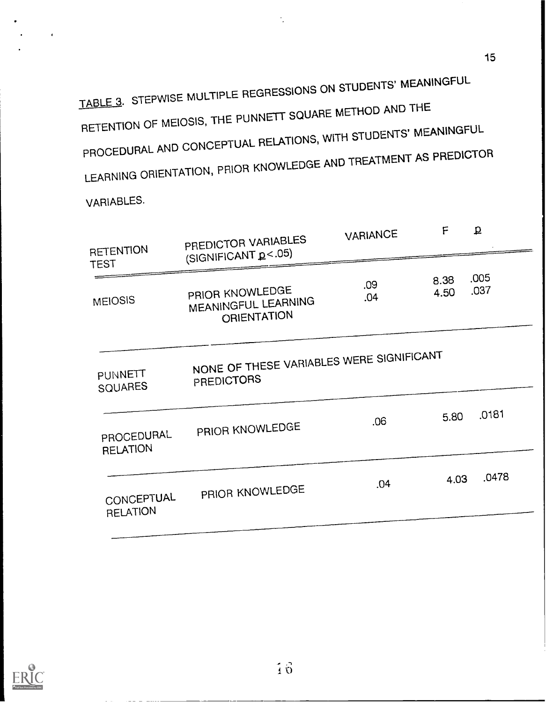TABLE 3. STEPWISE MULTIPLE REGRESSIONS ON STUDENTS' MEANINGFUL RETENTION OF MEIOSIS, THE PUNNETT SQUARE METHOD AND THE PROCEDURAL AND CONCEPTUAL RELATIONS, WITH STUDENTS' MEANINGFUL LEARNING ORIENTATION, PRIOR KNOWLEDGE AND TREATMENT AS PREDICTOR

VARIABLES.

| <b>RETENTION</b><br>TEST      | PREDICTOR VARIABLES<br>(SIGNIFICANT p<.05)                    | VARIANCE   | F            | $\overline{\mathbf{p}}$ |
|-------------------------------|---------------------------------------------------------------|------------|--------------|-------------------------|
| <b>MEIOSIS</b>                | PRIOR KNOWLEDGE<br>MEANINGFUL LEARNING<br>ORIENTATION         | .09<br>.04 | 8.38<br>4.50 | .005<br>.037            |
| PUNNETT<br>SQUARES            | NONE OF THESE VARIABLES WERE SIGNIFICANT<br><b>PREDICTORS</b> |            |              |                         |
| PROCEDURAL<br><b>RELATION</b> | PRIOR KNOWLEDGE                                               | .06        | 5.80         | .0181                   |
| CONCEPTUAL<br><b>RELATION</b> | PRIOR KNOWLEDGE                                               | .04        | 4.03         | .0478                   |
|                               |                                                               |            |              |                         |

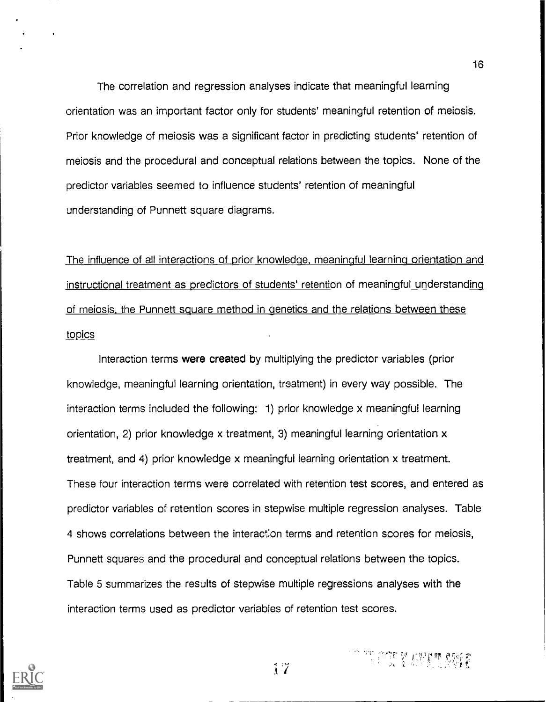The correlation and regression analyses indicate that meaningful learning orientation was an important factor only for students' meaningful retention of meiosis. Prior knowledge of meiosis was a significant factor in predicting students' retention of meiosis and the procedural and conceptual relations between the topics. None of the predictor variables seemed to influence students' retention of meaningful understanding of Punnett square diagrams.

16

The influence of all interactions of prior knowledge, meaningful learning orientation and instructional treatment as predictors of students' retention of meaningful understanding of meiosis, the Punnett square method in genetics and the relations between these topics

Interaction terms were created by multiplying the predictor variables (prior knowledge, meaningful learning orientation, treatment) in every way possible. The interaction terms included the following: 1) prior knowledge x meaningful learning orientation, 2) prior knowledge x treatment, 3) meaningful learning orientation x treatment, and 4) prior knowledge x meaningful learning orientation x treatment. These four interaction terms were correlated with retention test scores, and entered as predictor variables of retention scores in stepwise multiple regression analyses. Table 4 shows correlations between the interaction terms and retention scores for meiosis, Punnett squares and the procedural and conceptual relations between the topics. Table 5 summarizes the results of stepwise multiple regressions analyses with the interaction terms used as predictor variables of retention test scores.



research with the control of the control of the control of the control of the control of the control of the co<br>The control of the control of the control of the control of the control of the control of the control of the c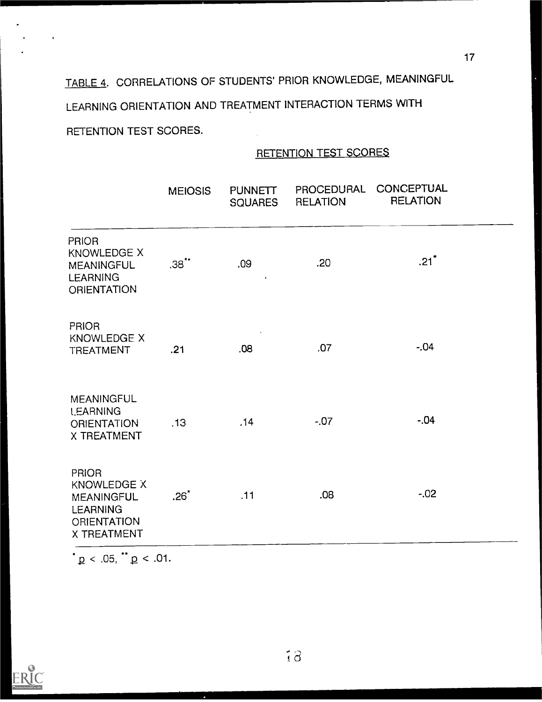# TABLE 4. CORRELATIONS OF STUDENTS' PRIOR KNOWLEDGE, MEANINGFUL LEARNING ORIENTATION AND TREATMENT INTERACTION TERMS WITH RETENTION TEST SCORES.

## RETENTION TEST SCORES

|                                                                                                                 | <b>MEIOSIS</b> | <b>PUNNETT</b><br><b>SQUARES</b> | <b>PROCEDURAL</b><br><b>RELATION</b> | <b>CONCEPTUAL</b><br><b>RELATION</b> |
|-----------------------------------------------------------------------------------------------------------------|----------------|----------------------------------|--------------------------------------|--------------------------------------|
| <b>PRIOR</b><br><b>KNOWLEDGE X</b><br><b>MEANINGFUL</b><br><b>LEARNING</b><br><b>ORIENTATION</b>                | $.38$ **       | .09                              | .20                                  | $.21$ <sup>*</sup>                   |
| <b>PRIOR</b><br><b>KNOWLEDGE X</b><br><b>TREATMENT</b>                                                          | .21            | .08                              | .07                                  | $-.04$                               |
| <b>MEANINGFUL</b><br><b>LEARNING</b><br><b>ORIENTATION</b><br>X TREATMENT                                       | .13            | .14                              | $-0.07$                              | $-.04$                               |
| <b>PRIOR</b><br><b>KNOWLEDGE X</b><br><b>MEANINGFUL</b><br><b>LEARNING</b><br><b>ORIENTATION</b><br>X TREATMENT | $.26*$         | .11                              | .08                                  | $-0.02$                              |

 $\mathbf{p}$  < .05,  $\mathbf{p}$  < .01.



l,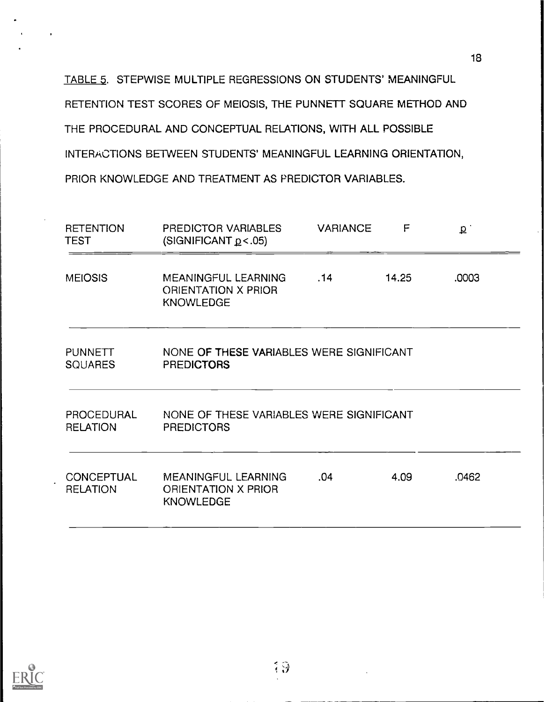TABLE 5. STEPWISE MULTIPLE REGRESSIONS ON STUDENTS' MEANINGFUL RETENTION TEST SCORES OF MEIOSIS, THE PUNNETT SQUARE METHOD AND THE PROCEDURAL AND CONCEPTUAL RELATIONS, WITH ALL POSSIBLE INTERACTIONS BETWEEN STUDENTS' MEANINGFUL LEARNING ORIENTATION, PRIOR KNOWLEDGE AND TREATMENT AS PREDICTOR VARIABLES.

| <b>RETENTION</b><br><b>TEST</b>      | F<br>PREDICTOR VARIABLES<br><b>VARIANCE</b><br>(SIGNIFICANT $p$ < .05) |     | q     |       |
|--------------------------------------|------------------------------------------------------------------------|-----|-------|-------|
| <b>MEIOSIS</b>                       | MEANINGFUL LEARNING<br>ORIENTATION X PRIOR<br><b>KNOWLEDGE</b>         | .14 | 14.25 | .0003 |
| <b>PUNNETT</b><br><b>SOUARES</b>     | NONE OF THESE VARIABLES WERE SIGNIFICANT<br><b>PREDICTORS</b>          |     |       |       |
| PROCEDURAL<br><b>RELATION</b>        | NONE OF THESE VARIABLES WERE SIGNIFICANT<br><b>PREDICTORS</b>          |     |       |       |
| <b>CONCEPTUAL</b><br><b>RELATION</b> | MEANINGFUL LEARNING<br><b>ORIENTATION X PRIOR</b><br><b>KNOWLEDGE</b>  | .04 | 4.09  | .0462 |

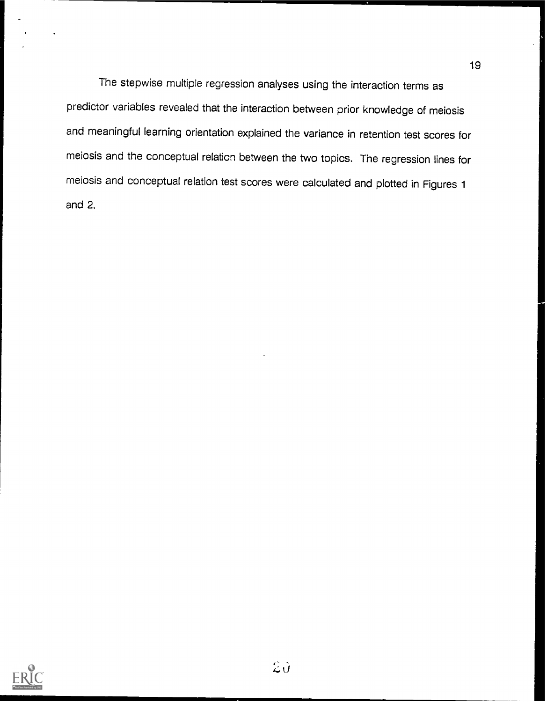The stepwise multiple regression analyses using the interaction terms as predictor variables revealed that the interaction between prior knowledge of meiosis and meaningful learning orientation explained the variance in retention test scores for meiosis and the conceptual relation between the two topics. The regression lines for meiosis and conceptual relation test scores were calculated and plotted in Figures 1 and 2.

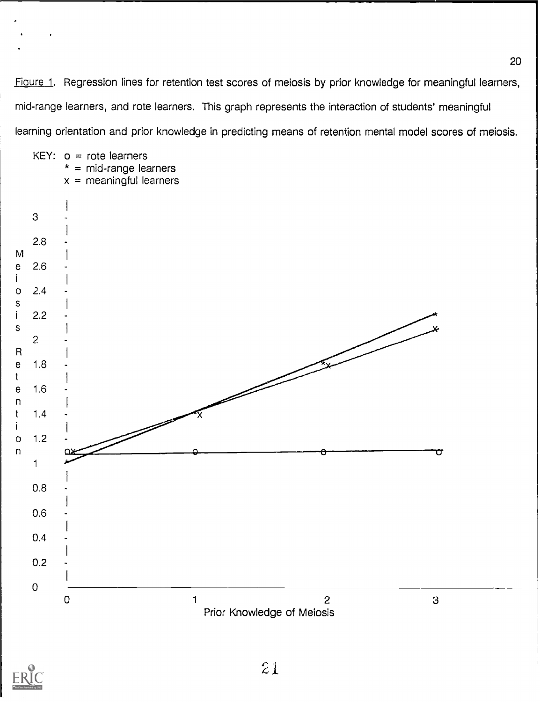Figure 1. Regression lines for retention test scores of meiosis by prior knowledge for meaningful learners, mid-range learners, and rote learners. This graph represents the interaction of students' meaningful learning orientation and prior knowledge in predicting means of retention mental model scores of meiosis.



Prior Knowledge of Meiosis



KEY:  $o =$  rote learners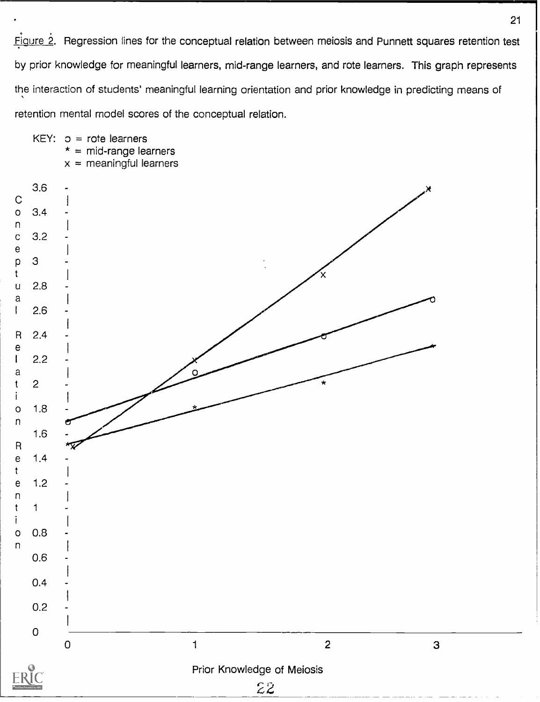Figure 2. Regression lines for the conceptual relation between meiosis and Punnett squares retention test by prior knowledge for meaningful learners, mid-range learners, and rote learners. This graph represents the interaction of students' meaningful learning orientation and prior knowledge in predicting means of retention mental model scores of the conceptual relation.



21 |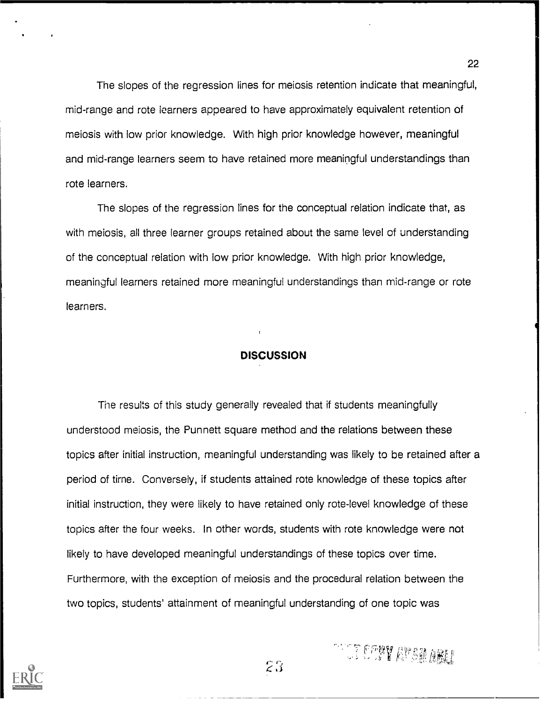The slopes of the regression lines for meiosis retention indicate that meaningful, mid-range and rote learners appeared to have approximately equivalent retention of meiosis with low prior knowledge. With high prior knowledge however, meaningful and mid-range learners seem to have retained more meaningful understandings than rote learners.

The slopes of the regression lines for the conceptual relation indicate that, as with meiosis, all three learner groups retained about the same level of understanding of the conceptual relation with low prior knowledge. With high prior knowledge, meaningful learners retained more meaningful understandings than mid-range or rote learners.

## **DISCUSSION**

The results of this study generally revealed that if students meaningfully understood meiosis, the Punnett square method and the relations between these topics after initial instruction, meaningful understanding was likely to be retained after a period of time. Conversely, if students attained rote knowledge of these topics after initial instruction, they were likely to have retained only rote-level knowledge of these topics after the four weeks. In other words, students with rote knowledge were not likely to have developed meaningful understandings of these topics over time. Furthermore, with the exception of meiosis and the procedural relation between the two topics, students' attainment of meaningful understanding of one topic was

 $23$ 

**REFERENCE AND ABLE** 

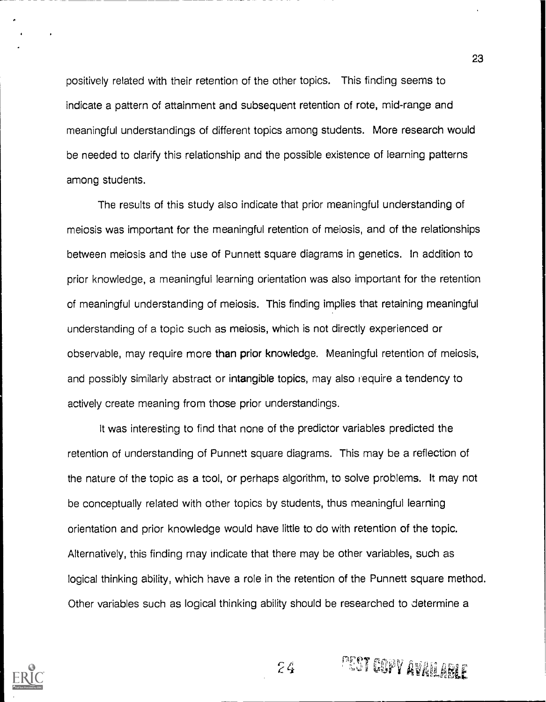positively related with their retention of the other topics. This finding seems to indicate a pattern of attainment and subsequent retention of rote, mid-range and meaningful understandings of different topics among students. More research would be needed to clarify this relationship and the possible existence of learning patterns among students.

The results of this study also indicate that prior meaningful understanding of meiosis was important for the meaningful retention of meiosis, and of the relationships between meiosis and the use of Punnett square diagrams in genetics. In addition to prior knowledge, a meaningful learning orientation was also important for the retention of meaningful understanding of meiosis. This finding implies that retaining meaningful understanding of a topic such as meiosis, which is not directly experienced or observable, may require more than prior knowledge. Meaningful retention of meiosis, and possibly similarly abstract or intangible topics, may also require a tendency to actively create meaning from those prior understandings.

It was interesting to find that none of the predictor variables predicted the retention of understanding of Punnett square diagrams. This may be a reflection of the nature of the topic as a tool, or perhaps algorithm, to solve problems. It may not be conceptually related with other topics by students, thus meaningful learning orientation and prior knowledge would have little to do with retention of the topic. Alternatively, this finding may indicate that there may be other variables, such as logical thinking ability, which have a role in the retention of the Punnett square method. Other variables such as logical thinking ability should be researched to determine a

 $74$ 



PEST COPY AVAILABLE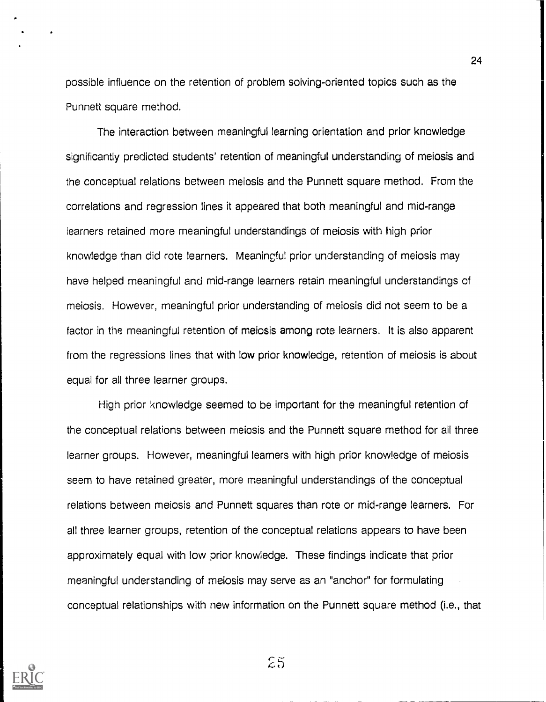possible influence on the retention of problem solving-oriented topics such as the Punnett square method.

The interaction between meaningful learning orientation and prior knowledge significantly predicted students' retention of meaningful understanding of meiosis and the conceptual relations between meiosis and the Punnett square method. From the correlations and regression lines it appeared that both meaningful and mid-range learners retained more meaningful understandings of meiosis with high prior knowledge than did rote learners. Meaningful prior understanding of meiosis may have helped meaningful and mid-range learners retain meaningful understandings of meiosis. However, meaningful prior understanding of meiosis did not seem to be a factor in the meaningful retention of meiosis among rote learners. It is also apparent from the regressions lines that with low prior knowledge, retention of meiosis is about equal for all three learner groups.

High prior knowledge seemed to be important for the meaningful retention of the conceptual relations between meiosis and the Punnett square method for all three learner groups. However, meaningful learners with high prior knowledge of meiosis seem to have retained greater, more meaningful understandings of the conceptual relations between meiosis and Punnett squares than rote or mid-range learners. For all three learner groups, retention of the conceptual relations appears to have been approximately equal with low prior knowledge. These findings indicate that prior meaningful understanding of meiosis may serve as an "anchor" for formulating conceptual relationships with new information on the Punnett square method (i.e., that



 $25$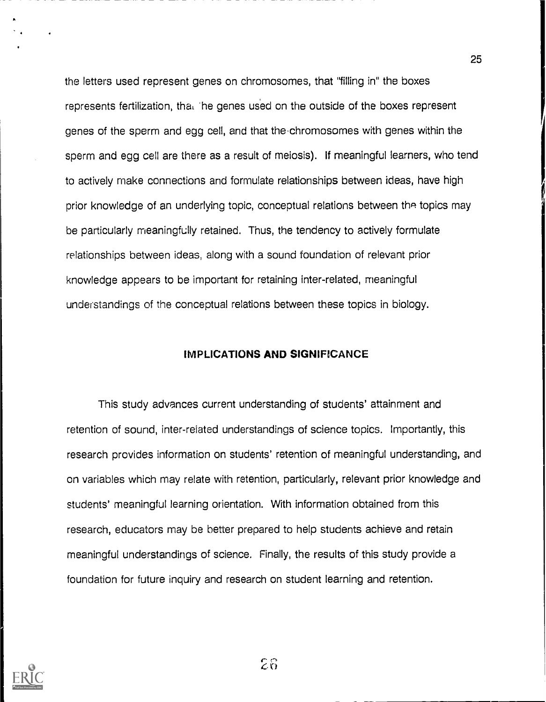the letters used represent genes on chromosomes, that "filling in" the boxes represents fertilization, that the genes used on the outside of the boxes represent genes of the sperm and egg cell, and that the. chromosomes with genes within the sperm and egg cell are there as a result of meiosis). If meaningful learners, who tend to actively make connections and formulate relationships between ideas, have high prior knowledge of an underlying topic, conceptual relations between the topics may be particularly meaningfully retained. Thus, the tendency to actively formulate relationships between ideas, along with a sound foundation of relevant prior knowledge appears to be important for retaining inter-related, meaningful understandings of the conceptual relations between these topics in biology.

## IMPLICATIONS AND SIGNIFICANCE

This study advances current understanding of students' attainment and retention of sound, inter-related understandings of science topics. Importantly, this research provides information on students' retention of meaningful understanding, and on variables which may relate with retention, particularly, relevant prior knowledge and students' meaningful learning orientation. With information obtained from this research, educators may be better prepared to help students achieve and retain meaningful understandings of science. Finally, the results of this study provide a foundation for future inquiry and research on student learning and retention.



 $25$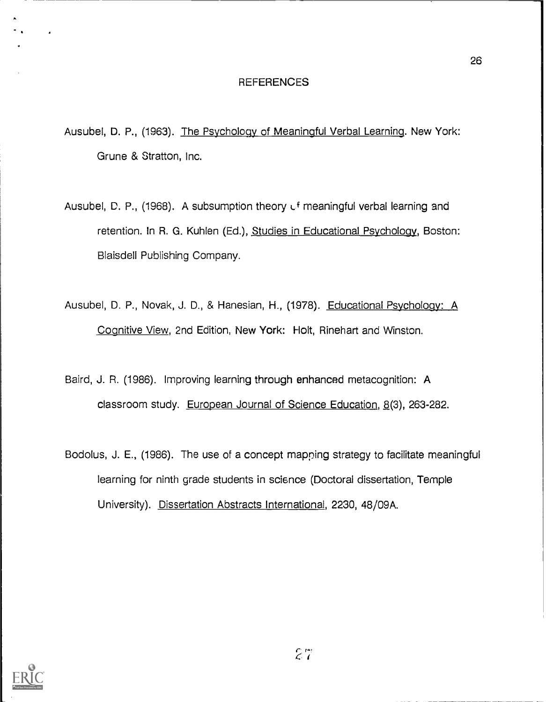### REFERENCES

- Ausubel, D. P., (1963). The Psychology of Meaningful Verbal Learning. New York: Grune & Stratton, Inc.
- Ausubel, D. P., (1968). A subsumption theory  $U<sup>f</sup>$  meaningful verbal learning and retention. In R. G. Kuhlen (Ed.), Studies in Educational Psychology, Boston: Blaisdell Publishing Company.
- Ausubel, D. P., Novak, J. D., & Hanesian, H., (1978). Educational Psychology: A Cognitive View, 2nd Edition, New York: Holt, Rinehart and Winston.
- Baird, J. R. (1986). Improving learning through enhanced metacognition: A classroom study. European Journal of Science Education, 8(3), 263-282.
- Bodolus, J. E., (1986). The use of a concept mapping strategy to facilitate meaningful learning for ninth grade students in science (Doctoral dissertation, Temple University). Dissertation Abstracts International, 2230, 48/09A.

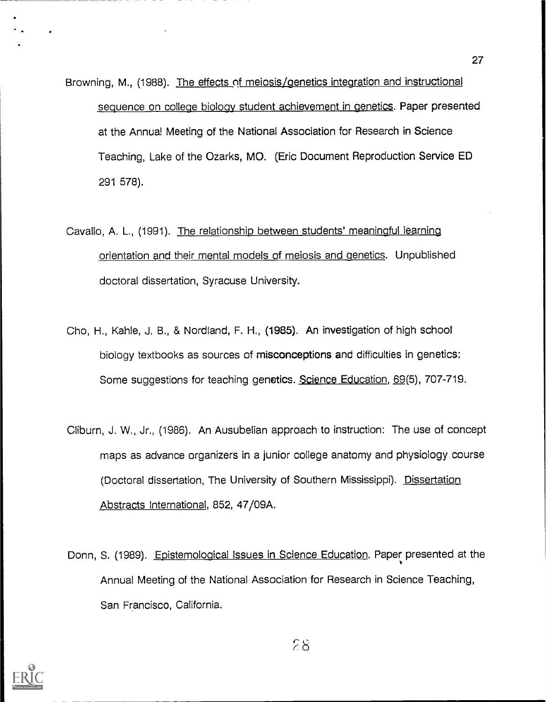- Browning, M., (1988). The effects of meiosis/genetics integration and instructional sequence on college biology student achievement in genetics. Paper presented at the Annual Meeting of the National Association for Research in Science Teaching, Lake of the Ozarks, MO. (Eric Document Reproduction Service ED 291 578).
- Cavallo, A. L., (1991). The relationship between students' meaningful learning orientation and their mental models of meiosis and genetics. Unpublished doctoral dissertation, Syracuse University.
- Cho, H., Kahle, J. B., & Nordland, F. H., (1985). An investigation of high school biology textbooks as sources of misconceptions and difficulties in genetics: Some suggestions for teaching genetics. Science Education, 69(5), 707-719.
- Cliburn, J. W., Jr., (1986). An Ausubelian approach to instruction: The use of concept maps as advance organizers in a junior college anatomy and physiology course (Doctoral dissertation, The University of Southern Mississippi). Dissertation Abstracts International, 852, 47/09A.
- Donn, S. (1989). Epistemological Issues in Science Education. Paper presented at the Annual Meeting of the National Association for Research in Science Teaching, San Francisco, California.

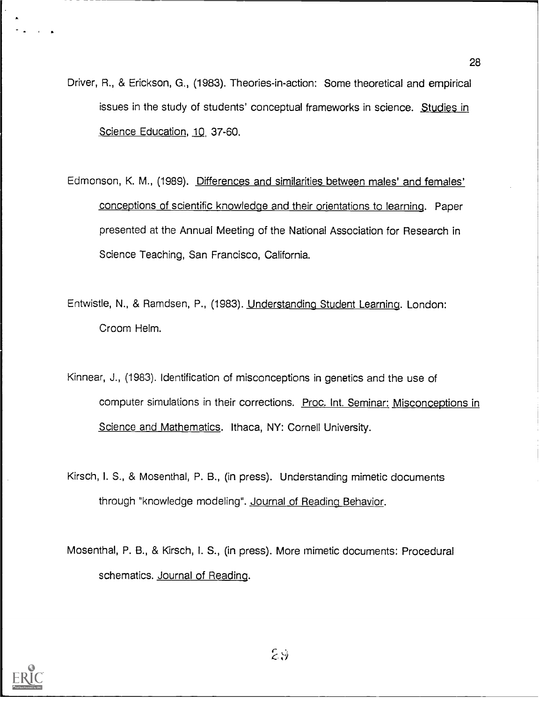- Driver, R., & Erickson, G., (1983). Theories-in-action: Some theoretical and empirical issues in the study of students' conceptual frameworks in science. Studies in Science Education, 10, 37-60.
- Edmonson, K. M., (1989). Differences and similarities between males' and females' conceptions of scientific knowledge and their orientations to learning. Paper presented at the Annual Meeting of the National Association for Research in Science Teaching, San Francisco, California.
- Entwistle, N., & Ramdsen, P., (1983). Understanding Student Learning. London: Croom Helm.
- Kinnear, J., (1983). Identification of misconceptions in genetics and the use of computer simulations in their corrections. Proc. Int. Seminar: Misconceptions in Science and Mathematics. Ithaca, NY: Cornell University.
- Kirsch, I. S., & Mosenthal, P. B., (in press). Understanding mimetic documents through "knowledge modeling". Journal of Reading Behavior.

Mosenthal, P. B., & Kirsch, I. S., (in press). More mimetic documents: Procedural schematics. Journal of Reading.

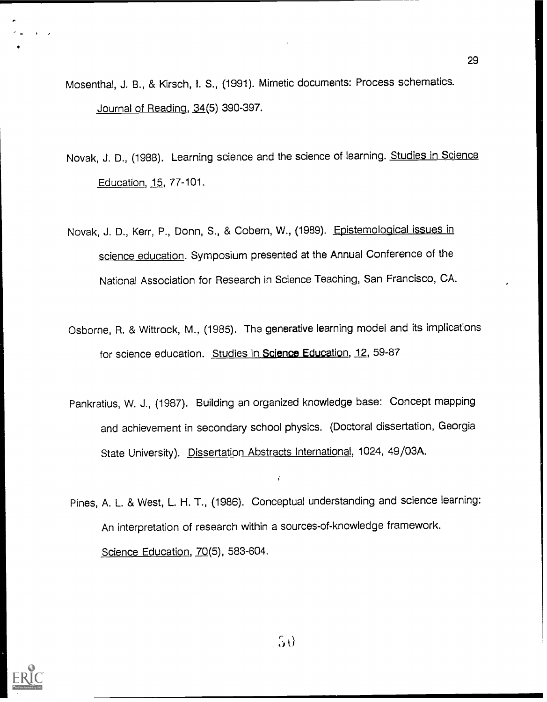- Mosenthal, J. B., & Kirsch, I. S., (1991). Mimetic documents: Process schematics. Journal of Reading, 34(5) 390-397.
- Novak, J. D., (1988). Learning science and the science of learning. Studies in Science Education, 15, 77-101.
- Novak, J. D., Kerr, P., Donn, S., & Cobern, W., (1989). Epistemological issues in science education. Symposium presented at the Annual Conference of the National Association for Research in Science Teaching, San Francisco, CA.
- Osborne, R. & Wittrock, M., (1985). The generative learning model and its implications for science education. Studies in Science Education, 12, 59-87
- Pankratius, W. J., (1987). Building an organized knowledge base: Concept mapping and achievement in secondary school physics. (Doctoral dissertation, Georgia State University). Dissertation Abstracts International, 1024, 49/03A.
- Pines, A. L. & West, L. H. T., (1986). Conceptual understanding and science learning: An interpretation of research within a sources-of-knowledge framework. Science Education, 70(5), 583-604.